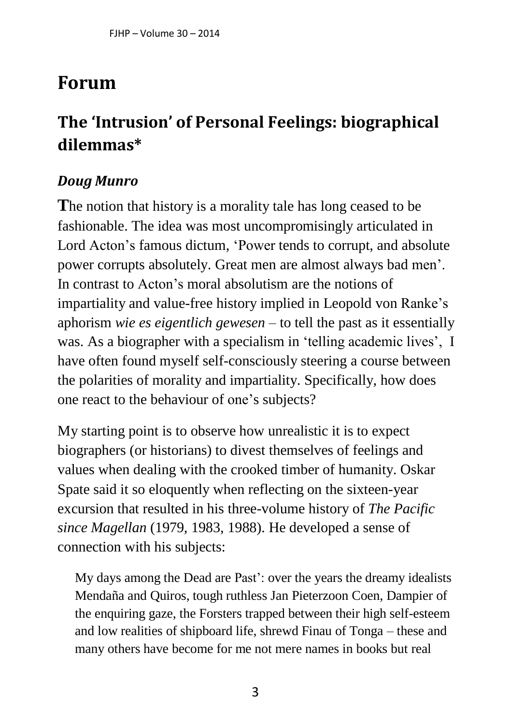## **Forum**

## **The 'Intrusion' of Personal Feelings: biographical dilemmas\***

## *Doug Munro*

**T**he notion that history is a morality tale has long ceased to be fashionable. The idea was most uncompromisingly articulated in Lord Acton's famous dictum, 'Power tends to corrupt, and absolute power corrupts absolutely. Great men are almost always bad men'. In contrast to Acton's moral absolutism are the notions of impartiality and value-free history implied in Leopold von Ranke's aphorism *wie es eigentlich gewesen* – to tell the past as it essentially was. As a biographer with a specialism in 'telling academic lives', I have often found myself self-consciously steering a course between the polarities of morality and impartiality. Specifically, how does one react to the behaviour of one's subjects?

My starting point is to observe how unrealistic it is to expect biographers (or historians) to divest themselves of feelings and values when dealing with the crooked timber of humanity. Oskar Spate said it so eloquently when reflecting on the sixteen-year excursion that resulted in his three-volume history of *The Pacific since Magellan* (1979, 1983, 1988). He developed a sense of connection with his subjects:

My days among the Dead are Past': over the years the dreamy idealists Mendaña and Quiros, tough ruthless Jan Pieterzoon Coen, Dampier of the enquiring gaze, the Forsters trapped between their high self-esteem and low realities of shipboard life, shrewd Finau of Tonga – these and many others have become for me not mere names in books but real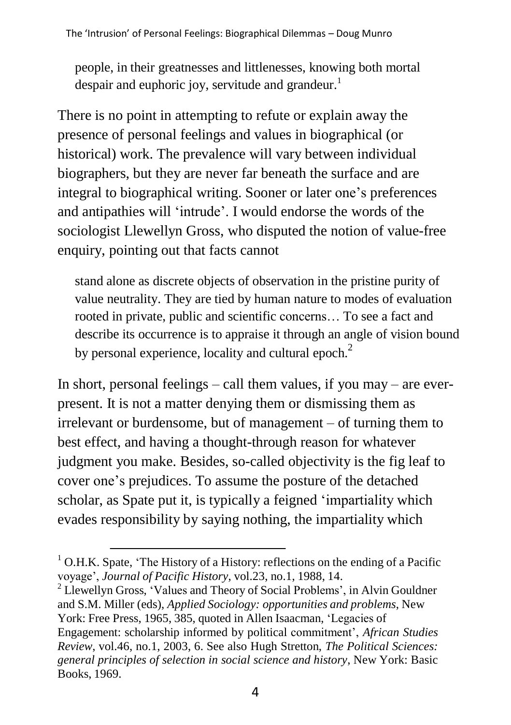people, in their greatnesses and littlenesses, knowing both mortal despair and euphoric joy, servitude and grandeur.<sup>1</sup>

There is no point in attempting to refute or explain away the presence of personal feelings and values in biographical (or historical) work. The prevalence will vary between individual biographers, but they are never far beneath the surface and are integral to biographical writing. Sooner or later one's preferences and antipathies will 'intrude'. I would endorse the words of the sociologist Llewellyn Gross, who disputed the notion of value-free enquiry, pointing out that facts cannot

stand alone as discrete objects of observation in the pristine purity of value neutrality. They are tied by human nature to modes of evaluation rooted in private, public and scientific concerns… To see a fact and describe its occurrence is to appraise it through an angle of vision bound by personal experience, locality and cultural epoch. $<sup>2</sup>$ </sup>

In short, personal feelings – call them values, if you may – are everpresent. It is not a matter denying them or dismissing them as irrelevant or burdensome, but of management – of turning them to best effect, and having a thought-through reason for whatever judgment you make. Besides, so-called objectivity is the fig leaf to cover one's prejudices. To assume the posture of the detached scholar, as Spate put it, is typically a feigned 'impartiality which evades responsibility by saying nothing, the impartiality which

<sup>2</sup> Llewellyn Gross, 'Values and Theory of Social Problems', in Alvin Gouldner and S.M. Miller (eds), *Applied Sociology: opportunities and problems*, New York: Free Press, 1965, 385, quoted in Allen Isaacman, 'Legacies of Engagement: scholarship informed by political commitment', *African Studies Review*, vol.46, no.1, 2003, 6. See also Hugh Stretton, *The Political Sciences: general principles of selection in social science and history*, New York: Basic Books, 1969.

 $1$  O.H.K. Spate, 'The History of a History: reflections on the ending of a Pacific voyage', *Journal of Pacific History*, vol.23, no.1, 1988, 14.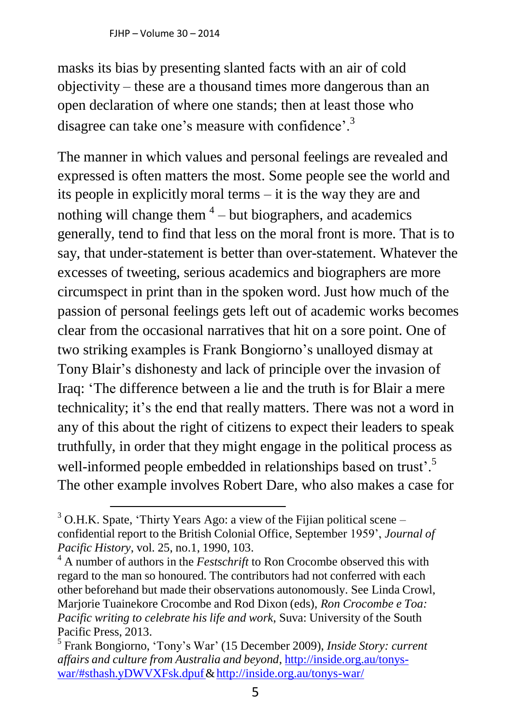masks its bias by presenting slanted facts with an air of cold objectivity – these are a thousand times more dangerous than an open declaration of where one stands; then at least those who disagree can take one's measure with confidence'.<sup>3</sup>

The manner in which values and personal feelings are revealed and expressed is often matters the most. Some people see the world and its people in explicitly moral terms – it is the way they are and nothing will change them  $4$  – but biographers, and academics generally, tend to find that less on the moral front is more. That is to say, that under-statement is better than over-statement. Whatever the excesses of tweeting, serious academics and biographers are more circumspect in print than in the spoken word. Just how much of the passion of personal feelings gets left out of academic works becomes clear from the occasional narratives that hit on a sore point. One of two striking examples is Frank Bongiorno's unalloyed dismay at Tony Blair's dishonesty and lack of principle over the invasion of Iraq: 'The difference between a lie and the truth is for Blair a mere technicality; it's the end that really matters. There was not a word in any of this about the right of citizens to expect their leaders to speak truthfully, in order that they might engage in the political process as well-informed people embedded in relationships based on trust'.<sup>5</sup> The other example involves Robert Dare, who also makes a case for

 $3$  O.H.K. Spate, 'Thirty Years Ago: a view of the Fijian political scene – confidential report to the British Colonial Office, September 1959', *Journal of Pacific History*, vol. 25, no.1, 1990, 103.

<sup>&</sup>lt;sup>4</sup> A number of authors in the *Festschrift* to Ron Crocombe observed this with regard to the man so honoured. The contributors had not conferred with each other beforehand but made their observations autonomously. See Linda Crowl, Marjorie Tuainekore Crocombe and Rod Dixon (eds), *Ron Crocombe e Toa: Pacific writing to celebrate his life and work*, Suva: University of the South Pacific Press, 2013.

<sup>5</sup> Frank Bongiorno, 'Tony's War' (15 December 2009), *Inside Story: current affairs and culture from Australia and beyond*, [http://inside.org.au/tonys](http://inside.org.au/tonys-war/#sthash.yDWVXFsk.dpuf)[war/#sthash.yDWVXFsk.dpuf&](http://inside.org.au/tonys-war/#sthash.yDWVXFsk.dpuf)<http://inside.org.au/tonys-war/>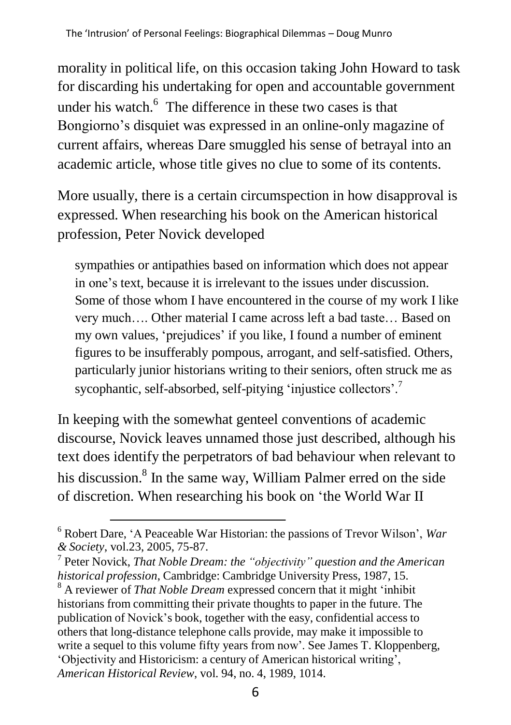morality in political life, on this occasion taking John Howard to task for discarding his undertaking for open and accountable government under his watch. $6$  The difference in these two cases is that Bongiorno's disquiet was expressed in an online-only magazine of current affairs, whereas Dare smuggled his sense of betrayal into an academic article, whose title gives no clue to some of its contents.

More usually, there is a certain circumspection in how disapproval is expressed. When researching his book on the American historical profession, Peter Novick developed

sympathies or antipathies based on information which does not appear in one's text, because it is irrelevant to the issues under discussion. Some of those whom I have encountered in the course of my work I like very much…. Other material I came across left a bad taste… Based on my own values, 'prejudices' if you like, I found a number of eminent figures to be insufferably pompous, arrogant, and self-satisfied. Others, particularly junior historians writing to their seniors, often struck me as sycophantic, self-absorbed, self-pitying 'injustice collectors'.<sup>7</sup>

In keeping with the somewhat genteel conventions of academic discourse, Novick leaves unnamed those just described, although his text does identify the perpetrators of bad behaviour when relevant to his discussion.<sup>8</sup> In the same way, William Palmer erred on the side of discretion. When researching his book on 'the World War II

<sup>6</sup> Robert Dare, 'A Peaceable War Historian: the passions of Trevor Wilson', *War & Society*, vol.23, 2005, 75-87.

<sup>7</sup> Peter Novick, *That Noble Dream: the "objectivity" question and the American historical profession*, Cambridge: Cambridge University Press, 1987, 15.

<sup>8</sup> A reviewer of *That Noble Dream* expressed concern that it might 'inhibit historians from committing their private thoughts to paper in the future. The publication of Novick's book, together with the easy, confidential access to others that long-distance telephone calls provide, may make it impossible to write a sequel to this volume fifty years from now'. See James T. Kloppenberg, 'Objectivity and Historicism: a century of American historical writing', *American Historical Review*, vol. 94, no. 4, 1989, 1014.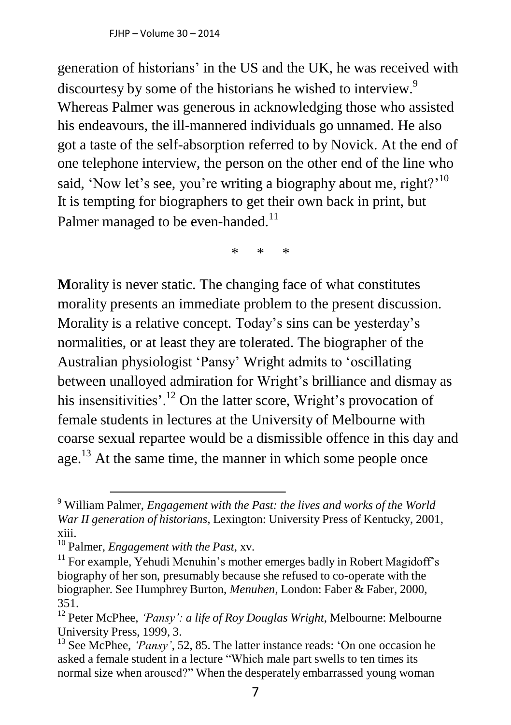generation of historians' in the US and the UK, he was received with discourtesy by some of the historians he wished to interview.<sup>9</sup> Whereas Palmer was generous in acknowledging those who assisted his endeavours, the ill-mannered individuals go unnamed. He also got a taste of the self-absorption referred to by Novick. At the end of one telephone interview, the person on the other end of the line who said, 'Now let's see, you're writing a biography about me, right?<sup>'10</sup> It is tempting for biographers to get their own back in print, but Palmer managed to be even-handed.<sup>11</sup>

\* \* \*

**M**orality is never static. The changing face of what constitutes morality presents an immediate problem to the present discussion. Morality is a relative concept. Today's sins can be yesterday's normalities, or at least they are tolerated. The biographer of the Australian physiologist 'Pansy' Wright admits to 'oscillating between unalloyed admiration for Wright's brilliance and dismay as his insensitivities'.<sup>12</sup> On the latter score, Wright's provocation of female students in lectures at the University of Melbourne with coarse sexual repartee would be a dismissible offence in this day and age. $^{13}$  At the same time, the manner in which some people once

<sup>9</sup> William Palmer, *Engagement with the Past: the lives and works of the World War II generation of historians,* Lexington: University Press of Kentucky, 2001, xiii.

<sup>10</sup> Palmer, *Engagement with the Past*, xv.

 $11$  For example, Yehudi Menuhin's mother emerges badly in Robert Magidoff's biography of her son, presumably because she refused to co-operate with the biographer. See Humphrey Burton, *Menuhen*, London: Faber & Faber, 2000, 351.

<sup>12</sup> Peter McPhee, *'Pansy': a life of Roy Douglas Wright*, Melbourne: Melbourne University Press, 1999, 3.

<sup>&</sup>lt;sup>13</sup> See McPhee, *'Pansy'*, 52, 85. The latter instance reads: 'On one occasion he asked a female student in a lecture "Which male part swells to ten times its normal size when aroused?" When the desperately embarrassed young woman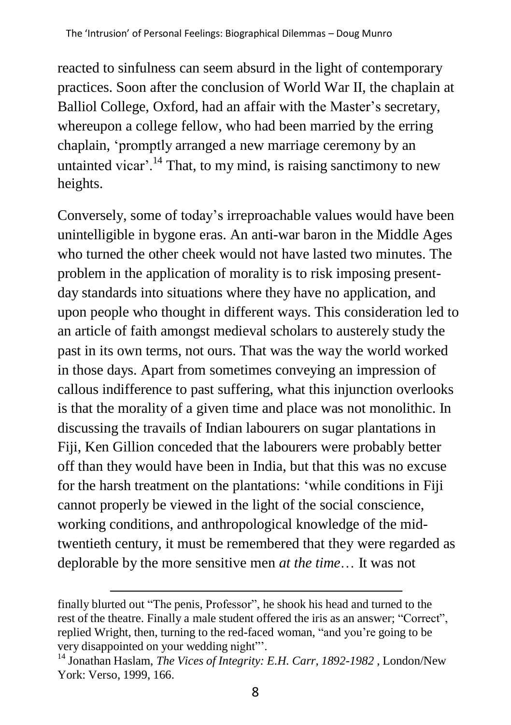reacted to sinfulness can seem absurd in the light of contemporary practices. Soon after the conclusion of World War II, the chaplain at Balliol College, Oxford, had an affair with the Master's secretary, whereupon a college fellow, who had been married by the erring chaplain, 'promptly arranged a new marriage ceremony by an untainted vicar'.<sup>14</sup> That, to my mind, is raising sanctimony to new heights.

Conversely, some of today's irreproachable values would have been unintelligible in bygone eras. An anti-war baron in the Middle Ages who turned the other cheek would not have lasted two minutes. The problem in the application of morality is to risk imposing presentday standards into situations where they have no application, and upon people who thought in different ways. This consideration led to an article of faith amongst medieval scholars to austerely study the past in its own terms, not ours. That was the way the world worked in those days. Apart from sometimes conveying an impression of callous indifference to past suffering, what this injunction overlooks is that the morality of a given time and place was not monolithic. In discussing the travails of Indian labourers on sugar plantations in Fiji, Ken Gillion conceded that the labourers were probably better off than they would have been in India, but that this was no excuse for the harsh treatment on the plantations: 'while conditions in Fiji cannot properly be viewed in the light of the social conscience, working conditions, and anthropological knowledge of the midtwentieth century, it must be remembered that they were regarded as deplorable by the more sensitive men *at the time*… It was not

finally blurted out "The penis, Professor", he shook his head and turned to the rest of the theatre. Finally a male student offered the iris as an answer; "Correct", replied Wright, then, turning to the red-faced woman, "and you're going to be very disappointed on your wedding night"'.

<sup>14</sup> Jonathan Haslam, *The Vices of Integrity: E.H. Carr, 1892-1982* , London/New York: Verso, 1999, 166.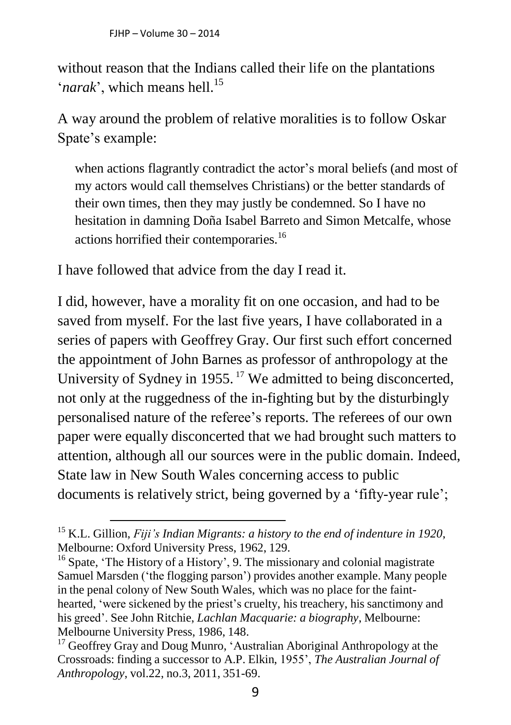without reason that the Indians called their life on the plantations  $'$ *narak*', which means hell.<sup>15</sup>

A way around the problem of relative moralities is to follow Oskar Spate's example:

when actions flagrantly contradict the actor's moral beliefs (and most of my actors would call themselves Christians) or the better standards of their own times, then they may justly be condemned. So I have no hesitation in damning Doña Isabel Barreto and Simon Metcalfe, whose actions horrified their contemporaries.<sup>16</sup>

I have followed that advice from the day I read it.

I did, however, have a morality fit on one occasion, and had to be saved from myself. For the last five years, I have collaborated in a series of papers with Geoffrey Gray. Our first such effort concerned the appointment of John Barnes as professor of anthropology at the University of Sydney in 1955.<sup>17</sup> We admitted to being disconcerted, not only at the ruggedness of the in-fighting but by the disturbingly personalised nature of the referee's reports. The referees of our own paper were equally disconcerted that we had brought such matters to attention, although all our sources were in the public domain. Indeed, State law in New South Wales concerning access to public documents is relatively strict, being governed by a 'fifty-year rule';

<sup>15</sup> K.L. Gillion, *Fiji's Indian Migrants: a history to the end of indenture in 1920*, Melbourne: Oxford University Press, 1962, 129.

<sup>&</sup>lt;sup>16</sup> Spate, 'The History of a History', 9. The missionary and colonial magistrate Samuel Marsden ('the flogging parson') provides another example. Many people in the penal colony of New South Wales, which was no place for the fainthearted, 'were sickened by the priest's cruelty, his treachery, his sanctimony and his greed'. See John Ritchie, *Lachlan Macquarie: a biography*, Melbourne: Melbourne University Press, 1986, 148.

 $17$  Geoffrey Gray and Doug Munro, 'Australian Aboriginal Anthropology at the Crossroads: finding a successor to A.P. Elkin, 1955', *The Australian Journal of Anthropology*, vol.22, no.3, 2011, 351-69.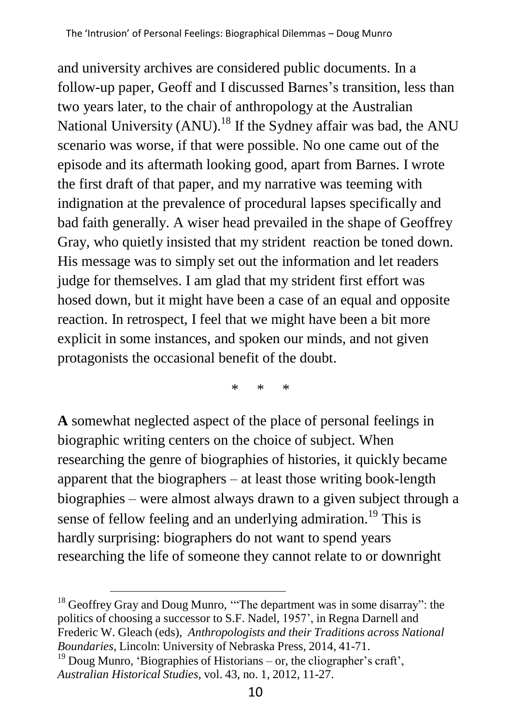and university archives are considered public documents. In a follow-up paper, Geoff and I discussed Barnes's transition, less than two years later, to the chair of anthropology at the Australian National University (ANU).<sup>18</sup> If the Sydney affair was bad, the ANU scenario was worse, if that were possible. No one came out of the episode and its aftermath looking good, apart from Barnes. I wrote the first draft of that paper, and my narrative was teeming with indignation at the prevalence of procedural lapses specifically and bad faith generally. A wiser head prevailed in the shape of Geoffrey Gray, who quietly insisted that my strident reaction be toned down. His message was to simply set out the information and let readers judge for themselves. I am glad that my strident first effort was hosed down, but it might have been a case of an equal and opposite reaction. In retrospect, I feel that we might have been a bit more explicit in some instances, and spoken our minds, and not given protagonists the occasional benefit of the doubt.

\* \* \*

**A** somewhat neglected aspect of the place of personal feelings in biographic writing centers on the choice of subject. When researching the genre of biographies of histories, it quickly became apparent that the biographers – at least those writing book-length biographies – were almost always drawn to a given subject through a sense of fellow feeling and an underlying admiration.<sup>19</sup> This is hardly surprising: biographers do not want to spend years researching the life of someone they cannot relate to or downright

<sup>&</sup>lt;sup>18</sup> Geoffrey Gray and Doug Munro, "The department was in some disarray": the politics of choosing a successor to S.F. Nadel, 1957', in Regna Darnell and Frederic W. Gleach (eds), *Anthropologists and their Traditions across National Boundaries*, Lincoln: University of Nebraska Press, 2014, 41-71.

<sup>&</sup>lt;sup>19</sup> Doug Munro, 'Biographies of Historians – or, the cliographer's craft', *Australian Historical Studies*, vol. 43, no. 1, 2012, 11-27.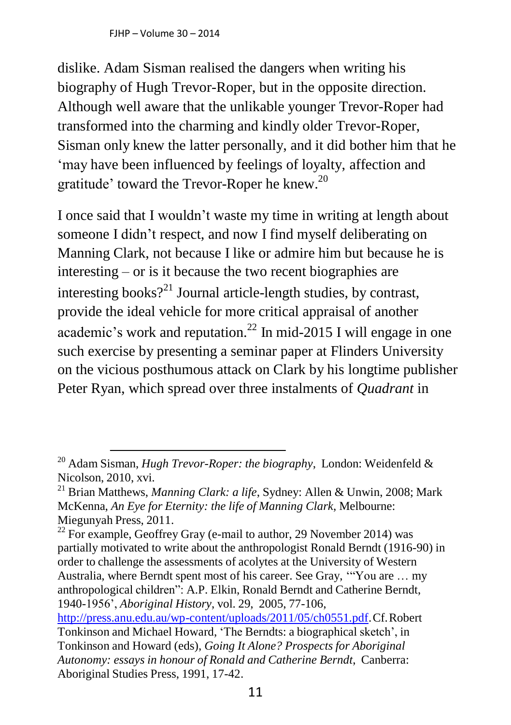FJHP – Volume 30 – 2014

dislike. Adam Sisman realised the dangers when writing his biography of Hugh Trevor-Roper, but in the opposite direction. Although well aware that the unlikable younger Trevor-Roper had transformed into the charming and kindly older Trevor-Roper, Sisman only knew the latter personally, and it did bother him that he 'may have been influenced by feelings of loyalty, affection and gratitude' toward the Trevor-Roper he knew.<sup>20</sup>

I once said that I wouldn't waste my time in writing at length about someone I didn't respect, and now I find myself deliberating on Manning Clark, not because I like or admire him but because he is interesting – or is it because the two recent biographies are interesting books?<sup>21</sup> Journal article-length studies, by contrast, provide the ideal vehicle for more critical appraisal of another academic's work and reputation.<sup>22</sup> In mid-2015 I will engage in one such exercise by presenting a seminar paper at Flinders University on the vicious posthumous attack on Clark by his longtime publisher Peter Ryan, which spread over three instalments of *Quadrant* in

Aboriginal Studies Press, 1991, 17-42.

<sup>20</sup> Adam Sisman, *Hugh Trevor-Roper: the biography*, London: Weidenfeld & Nicolson, 2010, xvi.

<sup>21</sup> Brian Matthews, *Manning Clark: a life*, Sydney: Allen & Unwin, 2008; Mark McKenna, *An Eye for Eternity: the life of Manning Clark*, Melbourne: Miegunyah Press, 2011.

 $^{22}$  For example, Geoffrey Gray (e-mail to author, 29 November 2014) was partially motivated to write about the anthropologist Ronald Berndt (1916-90) in order to challenge the assessments of acolytes at the University of Western Australia, where Berndt spent most of his career. See Gray, '"You are … my anthropological children": A.P. Elkin, Ronald Berndt and Catherine Berndt, 1940-1956', *Aboriginal History*, vol. 29, 2005, 77-106, [http://press.anu.edu.au/wp-content/uploads/2011/05/ch0551.pdf.C](http://press.anu.edu.au/wp-content/uploads/2011/05/ch0551.pdf)f.Robert Tonkinson and Michael Howard, 'The Berndts: a biographical sketch', in Tonkinson and Howard (eds), *Going It Alone? Prospects for Aboriginal Autonomy: essays in honour of Ronald and Catherine Berndt*, Canberra: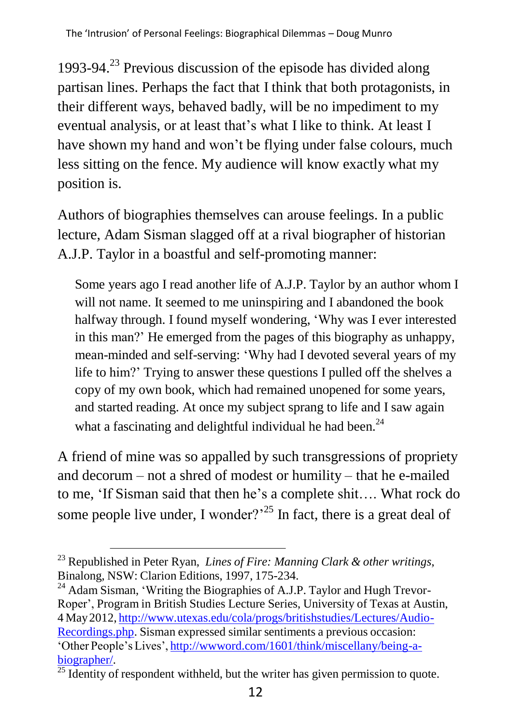1993-94. $^{23}$  Previous discussion of the episode has divided along partisan lines. Perhaps the fact that I think that both protagonists, in their different ways, behaved badly, will be no impediment to my eventual analysis, or at least that's what I like to think. At least I have shown my hand and won't be flying under false colours, much less sitting on the fence. My audience will know exactly what my position is.

Authors of biographies themselves can arouse feelings. In a public lecture, Adam Sisman slagged off at a rival biographer of historian A.J.P. Taylor in a boastful and self-promoting manner:

Some years ago I read another life of A.J.P. Taylor by an author whom I will not name. It seemed to me uninspiring and I abandoned the book halfway through. I found myself wondering, 'Why was I ever interested in this man?' He emerged from the pages of this biography as unhappy, mean-minded and self-serving: 'Why had I devoted several years of my life to him?' Trying to answer these questions I pulled off the shelves a copy of my own book, which had remained unopened for some years, and started reading. At once my subject sprang to life and I saw again what a fascinating and delightful individual he had been.<sup>24</sup>

A friend of mine was so appalled by such transgressions of propriety and decorum – not a shred of modest or humility – that he e-mailed to me, 'If Sisman said that then he's a complete shit…. What rock do some people live under, I wonder?<sup>25</sup> In fact, there is a great deal of

<sup>24</sup> Adam Sisman, 'Writing the Biographies of A.J.P. Taylor and Hugh Trevor-Roper', Program in British Studies Lecture Series, University of Texas at Austin, 4 May2012, [http://www.utexas.edu/cola/progs/britishstudies/Lectures/Audio-](http://www.utexas.edu/cola/progs/britishstudies/Lectures/Audio-Recordings.php)[Recordings.php.](http://www.utexas.edu/cola/progs/britishstudies/Lectures/Audio-Recordings.php) Sisman expressed similar sentiments a previous occasion: 'Other People's Lives', [http://wwword.com/1601/think/miscellany/being-a](http://wwword.com/1601/think/miscellany/being-a-biographer/)[biographer/.](http://wwword.com/1601/think/miscellany/being-a-biographer/)

<sup>23</sup> Republished in Peter Ryan, *Lines of Fire: Manning Clark & other writings*, Binalong, NSW: Clarion Editions, 1997, 175-234.

 $\overline{\frac{25}{25}}$  Identity of respondent withheld, but the writer has given permission to quote.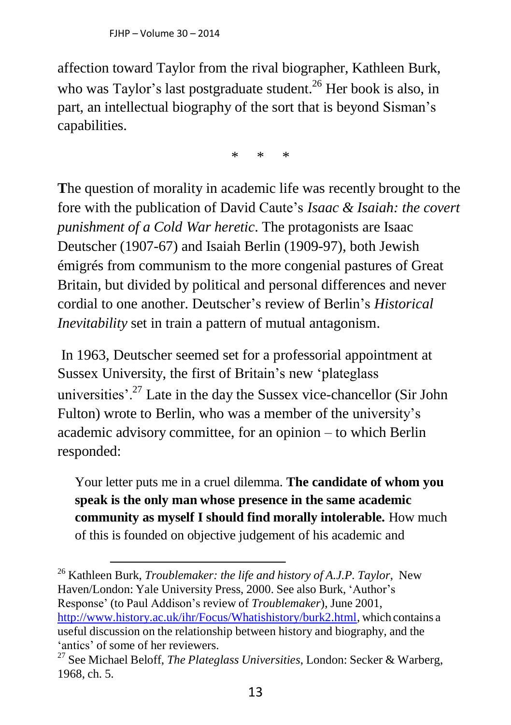affection toward Taylor from the rival biographer, Kathleen Burk, who was Taylor's last postgraduate student.<sup>26</sup> Her book is also, in part, an intellectual biography of the sort that is beyond Sisman's capabilities.

\* \* \*

**T**he question of morality in academic life was recently brought to the fore with the publication of David Caute's *Isaac & Isaiah: the covert punishment of a Cold War heretic*. The protagonists are Isaac Deutscher (1907-67) and Isaiah Berlin (1909-97), both Jewish émigrés from communism to the more congenial pastures of Great Britain, but divided by political and personal differences and never cordial to one another. Deutscher's review of Berlin's *Historical Inevitability* set in train a pattern of mutual antagonism.

In 1963, Deutscher seemed set for a professorial appointment at Sussex University, the first of Britain's new 'plateglass universities'.<sup>27</sup> Late in the day the Sussex vice-chancellor (Sir John Fulton) wrote to Berlin, who was a member of the university's academic advisory committee, for an opinion – to which Berlin responded:

Your letter puts me in a cruel dilemma. **The candidate of whom you speak is the only man whose presence in the same academic community as myself I should find morally intolerable.** How much of this is founded on objective judgement of his academic and

<sup>26</sup> Kathleen Burk, *Troublemaker: the life and history of A.J.P. Taylor*, New Haven/London: Yale University Press, 2000. See also Burk, 'Author's Response' (to Paul Addison's review of *Troublemaker*), June 2001, [http://www.history.ac.uk/ihr/Focus/Whatishistory/burk2.html,](http://www.history.ac.uk/ihr/Focus/Whatishistory/burk2.html) which contains a useful discussion on the relationship between history and biography, and the 'antics' of some of her reviewers.

<sup>27</sup> See Michael Beloff, *The Plateglass Universities*, London: Secker & Warberg, 1968, ch. 5.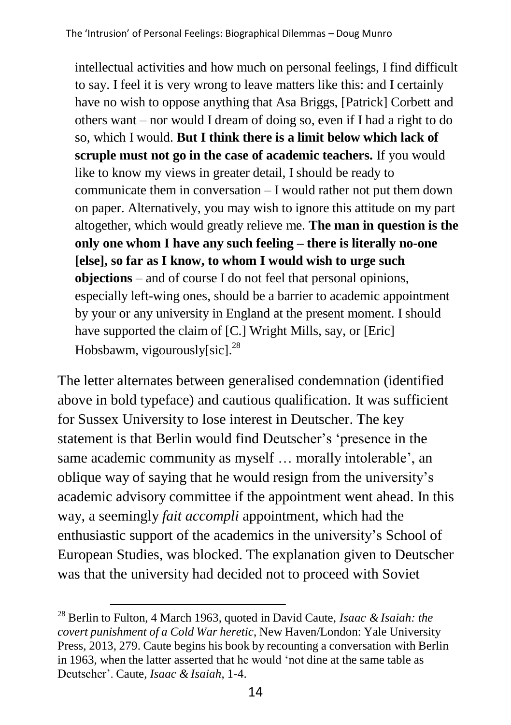intellectual activities and how much on personal feelings, I find difficult to say. I feel it is very wrong to leave matters like this: and I certainly have no wish to oppose anything that Asa Briggs, [Patrick] Corbett and others want – nor would I dream of doing so, even if I had a right to do so, which I would. **But I think there is a limit below which lack of scruple must not go in the case of academic teachers.** If you would like to know my views in greater detail, I should be ready to communicate them in conversation – I would rather not put them down on paper. Alternatively, you may wish to ignore this attitude on my part altogether, which would greatly relieve me. **The man in question is the only one whom I have any such feeling – there is literally no-one [else], so far as I know, to whom I would wish to urge such objections** – and of course I do not feel that personal opinions, especially left-wing ones, should be a barrier to academic appointment by your or any university in England at the present moment. I should have supported the claim of [C.] Wright Mills, say, or [Eric] Hobsbawm, vigourously $[sic]$ <sup>28</sup>

The letter alternates between generalised condemnation (identified above in bold typeface) and cautious qualification. It was sufficient for Sussex University to lose interest in Deutscher. The key statement is that Berlin would find Deutscher's 'presence in the same academic community as myself … morally intolerable', an oblique way of saying that he would resign from the university's academic advisory committee if the appointment went ahead. In this way, a seemingly *fait accompli* appointment, which had the enthusiastic support of the academics in the university's School of European Studies, was blocked. The explanation given to Deutscher was that the university had decided not to proceed with Soviet

<sup>28</sup> Berlin to Fulton, 4 March 1963, quoted in David Caute, *Isaac & Isaiah: the covert punishment of a Cold War heretic*, New Haven/London: Yale University Press, 2013, 279. Caute begins his book by recounting a conversation with Berlin in 1963, when the latter asserted that he would 'not dine at the same table as Deutscher'. Caute, *Isaac & Isaiah*, 1-4.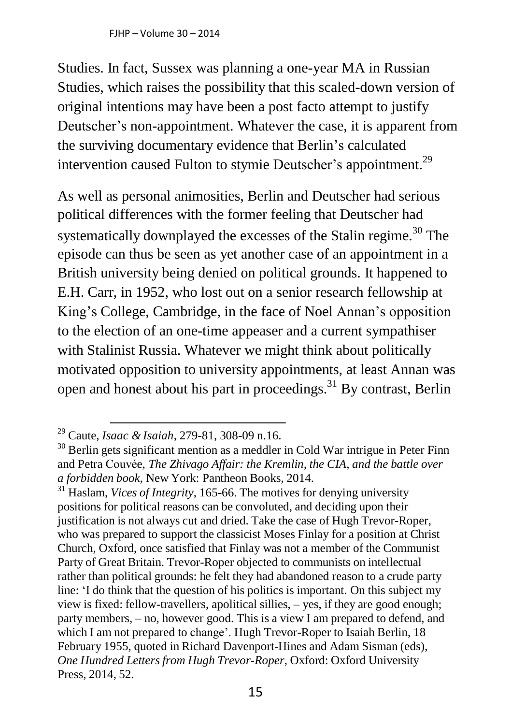FJHP – Volume 30 – 2014

Studies. In fact, Sussex was planning a one-year MA in Russian Studies, which raises the possibility that this scaled-down version of original intentions may have been a post facto attempt to justify Deutscher's non-appointment. Whatever the case, it is apparent from the surviving documentary evidence that Berlin's calculated intervention caused Fulton to stymie Deutscher's appointment.<sup>29</sup>

As well as personal animosities, Berlin and Deutscher had serious political differences with the former feeling that Deutscher had systematically downplayed the excesses of the Stalin regime.<sup>30</sup> The episode can thus be seen as yet another case of an appointment in a British university being denied on political grounds. It happened to E.H. Carr, in 1952, who lost out on a senior research fellowship at King's College, Cambridge, in the face of Noel Annan's opposition to the election of an one-time appeaser and a current sympathiser with Stalinist Russia. Whatever we might think about politically motivated opposition to university appointments, at least Annan was open and honest about his part in proceedings.<sup>31</sup> By contrast, Berlin

<sup>29</sup> Caute, *Isaac & Isaiah*, 279-81, 308-09 n.16.

 $30$  Berlin gets significant mention as a meddler in Cold War intrigue in Peter Finn and Petra Couvée, *The Zhivago Affair: the Kremlin, the CIA, and the battle over a forbidden book*, New York: Pantheon Books, 2014.

<sup>31</sup> Haslam, *Vices of Integrity*, 165-66. The motives for denying university positions for political reasons can be convoluted, and deciding upon their justification is not always cut and dried. Take the case of Hugh Trevor-Roper, who was prepared to support the classicist Moses Finlay for a position at Christ Church, Oxford, once satisfied that Finlay was not a member of the Communist Party of Great Britain. Trevor-Roper objected to communists on intellectual rather than political grounds: he felt they had abandoned reason to a crude party line: 'I do think that the question of his politics is important. On this subject my view is fixed: fellow-travellers, apolitical sillies, – yes, if they are good enough; party members, – no, however good. This is a view I am prepared to defend, and which I am not prepared to change'. Hugh Trevor-Roper to Isaiah Berlin, 18 February 1955, quoted in Richard Davenport-Hines and Adam Sisman (eds), *One Hundred Letters from Hugh Trevor-Roper*, Oxford: Oxford University Press, 2014, 52.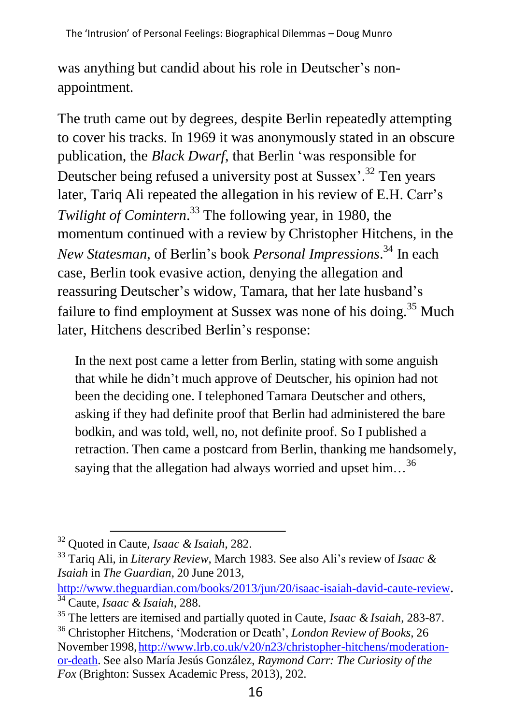was anything but candid about his role in Deutscher's nonappointment.

The truth came out by degrees, despite Berlin repeatedly attempting to cover his tracks. In 1969 it was anonymously stated in an obscure publication, the *Black Dwarf*, that Berlin 'was responsible for Deutscher being refused a university post at Sussex<sup>32</sup> Ten years later, Tariq Ali repeated the allegation in his review of E.H. Carr's *Twilight of Comintern*. <sup>33</sup> The following year, in 1980, the momentum continued with a review by Christopher Hitchens, in the *New Statesman*, of Berlin's book *Personal Impressions*. <sup>34</sup> In each case, Berlin took evasive action, denying the allegation and reassuring Deutscher's widow, Tamara, that her late husband's failure to find employment at Sussex was none of his doing.<sup>35</sup> Much later, Hitchens described Berlin's response:

In the next post came a letter from Berlin, stating with some anguish that while he didn't much approve of Deutscher, his opinion had not been the deciding one. I telephoned Tamara Deutscher and others, asking if they had definite proof that Berlin had administered the bare bodkin, and was told, well, no, not definite proof. So I published a retraction. Then came a postcard from Berlin, thanking me handsomely, saying that the allegation had always worried and upset him... $^{36}$ 

<sup>32</sup> Quoted in Caute, *Isaac & Isaiah*, 282.

<sup>33</sup> Tariq Ali, in *Literary Review*, March 1983. See also Ali's review of *Isaac & Isaiah* in *The Guardian*, 20 June 2013,

<http://www.theguardian.com/books/2013/jun/20/isaac-isaiah-david-caute-review>. <sup>34</sup> Caute, *Isaac & Isaiah*, 288.

<sup>35</sup> The letters are itemised and partially quoted in Caute, *Isaac & Isaiah*, 283-87.

<sup>36</sup> Christopher Hitchens, 'Moderation or Death', *London Review of Books*, 26 November1998[,http://www.lrb.co.uk/v20/n23/christopher-hitchens/moderation](http://www.lrb.co.uk/v20/n23/christopher-hitchens/moderation-or-death)[or-death.](http://www.lrb.co.uk/v20/n23/christopher-hitchens/moderation-or-death) See also María Jesús González, *Raymond Carr: The Curiosity of the Fox* (Brighton: Sussex Academic Press, 2013), 202.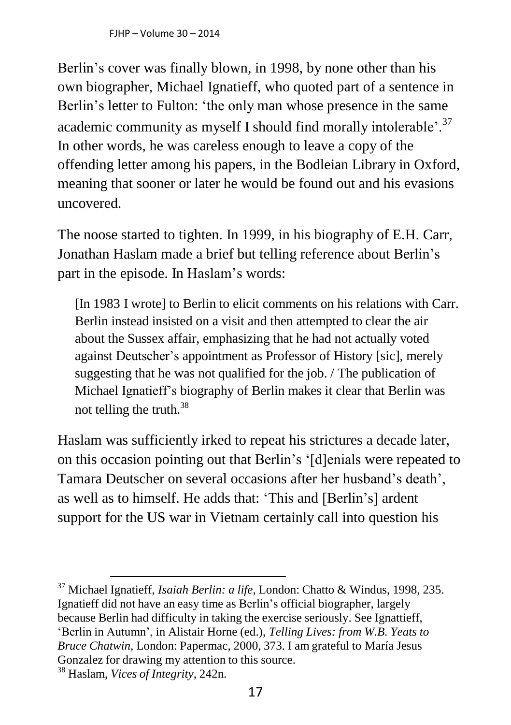Berlin's cover was finally blown, in 1998, by none other than his own biographer, Michael Ignatieff, who quoted part of a sentence in Berlin's letter to Fulton: 'the only man whose presence in the same academic community as myself I should find morally intolerable'.<sup>37</sup> In other words, he was careless enough to leave a copy of the offending letter among his papers, in the Bodleian Library in Oxford, meaning that sooner or later he would be found out and his evasions uncovered.

The noose started to tighten. In 1999, in his biography of E.H. Carr, Jonathan Haslam made a brief but telling reference about Berlin's part in the episode. In Haslam's words:

[In 1983 I wrote] to Berlin to elicit comments on his relations with Carr. Berlin instead insisted on a visit and then attempted to clear the air about the Sussex affair, emphasizing that he had not actually voted against Deutscher's appointment as Professor of History [sic], merely suggesting that he was not qualified for the job. / The publication of Michael Ignatieff's biography of Berlin makes it clear that Berlin was not telling the truth. $38$ 

Haslam was sufficiently irked to repeat his strictures a decade later, on this occasion pointing out that Berlin's '[d]enials were repeated to Tamara Deutscher on several occasions after her husband's death', as well as to himself. He adds that: 'This and [Berlin's] ardent support for the US war in Vietnam certainly call into question his

<sup>37</sup> Michael Ignatieff, *Isaiah Berlin: a life*, London: Chatto & Windus, 1998, 235. Ignatieff did not have an easy time as Berlin's official biographer, largely because Berlin had difficulty in taking the exercise seriously. See Ignattieff, 'Berlin in Autumn', in Alistair Horne (ed.), *Telling Lives: from W.B. Yeats to Bruce Chatwin*, London: Papermac, 2000, 373. I am grateful to María Jesus Gonzalez for drawing my attention to this source.

<sup>38</sup> Haslam, *Vices of Integrity*, 242n.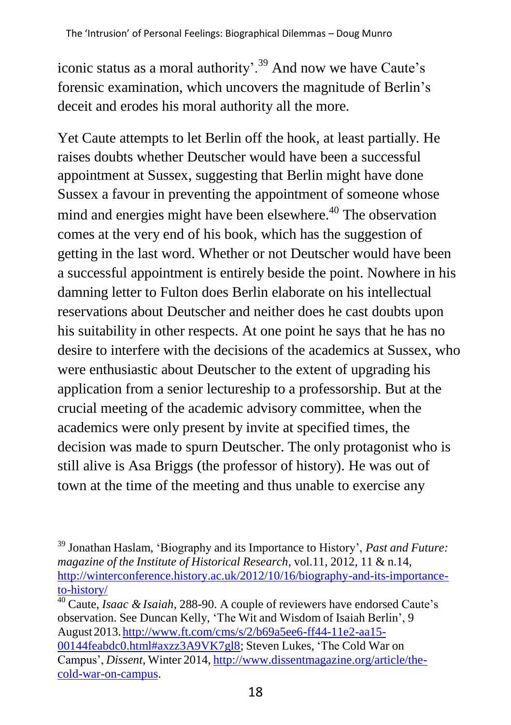iconic status as a moral authority'.<sup>39</sup> And now we have Caute's forensic examination, which uncovers the magnitude of Berlin's deceit and erodes his moral authority all the more.

Yet Caute attempts to let Berlin off the hook, at least partially. He raises doubts whether Deutscher would have been a successful appointment at Sussex, suggesting that Berlin might have done Sussex a favour in preventing the appointment of someone whose mind and energies might have been elsewhere.<sup>40</sup> The observation comes at the very end of his book, which has the suggestion of getting in the last word. Whether or not Deutscher would have been a successful appointment is entirely beside the point. Nowhere in his damning letter to Fulton does Berlin elaborate on his intellectual reservations about Deutscher and neither does he cast doubts upon his suitability in other respects. At one point he says that he has no desire to interfere with the decisions of the academics at Sussex, who were enthusiastic about Deutscher to the extent of upgrading his application from a senior lectureship to a professorship. But at the crucial meeting of the academic advisory committee, when the academics were only present by invite at specified times, the decision was made to spurn Deutscher. The only protagonist who is still alive is Asa Briggs (the professor of history). He was out of town at the time of the meeting and thus unable to exercise any

<sup>40</sup> Caute, *Isaac & Isaiah*, 288-90. A couple of reviewers have endorsed Caute's observation. See Duncan Kelly, 'The Wit and Wisdom of Isaiah Berlin', 9 August2013. [http://www.ft.com/cms/s/2/b69a5ee6-ff44-11e2-aa15-](http://www.ft.com/cms/s/2/b69a5ee6-ff44-11e2-aa15-00144feabdc0.html#axzz3A9VK7gl8)  [00144feabdc0.html#axzz3A9VK7gl8;](http://www.ft.com/cms/s/2/b69a5ee6-ff44-11e2-aa15-00144feabdc0.html#axzz3A9VK7gl8) Steven Lukes, 'The Cold War on Campus', *Dissent*, Winter 2014, [http://www.dissentmagazine.org/article/the](http://www.dissentmagazine.org/article/the-cold-war-on-campus)[cold-war-on-campus.](http://www.dissentmagazine.org/article/the-cold-war-on-campus)

<sup>39</sup> Jonathan Haslam, 'Biography and its Importance to History', *Past and Future: magazine of the Institute of Historical Research*, vol.11, 2012, 11 & n.14, [http://winterconference.history.ac.uk/2012/10/16/biography-and-its-importance](http://winterconference.history.ac.uk/2012/10/16/biography-and-its-importance-to-history/)[to-history/](http://winterconference.history.ac.uk/2012/10/16/biography-and-its-importance-to-history/)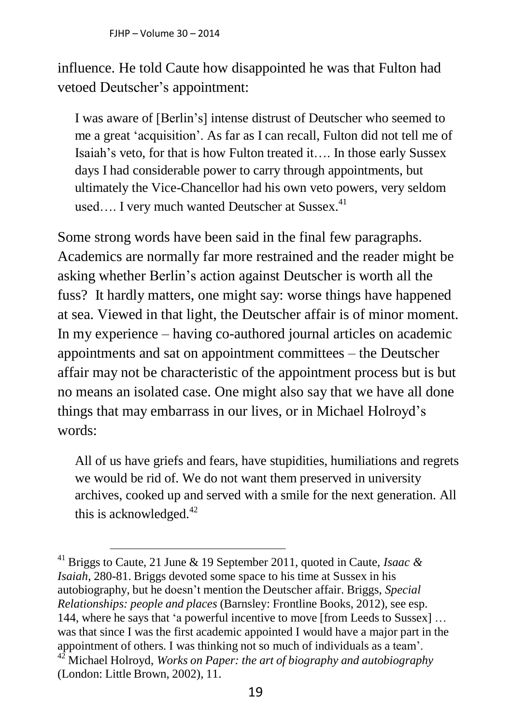influence. He told Caute how disappointed he was that Fulton had vetoed Deutscher's appointment:

I was aware of [Berlin's] intense distrust of Deutscher who seemed to me a great 'acquisition'. As far as I can recall, Fulton did not tell me of Isaiah's veto, for that is how Fulton treated it…. In those early Sussex days I had considerable power to carry through appointments, but ultimately the Vice-Chancellor had his own veto powers, very seldom used.... I very much wanted Deutscher at Sussex. $41$ 

Some strong words have been said in the final few paragraphs. Academics are normally far more restrained and the reader might be asking whether Berlin's action against Deutscher is worth all the fuss? It hardly matters, one might say: worse things have happened at sea. Viewed in that light, the Deutscher affair is of minor moment. In my experience – having co-authored journal articles on academic appointments and sat on appointment committees – the Deutscher affair may not be characteristic of the appointment process but is but no means an isolated case. One might also say that we have all done things that may embarrass in our lives, or in Michael Holroyd's words:

All of us have griefs and fears, have stupidities, humiliations and regrets we would be rid of. We do not want them preserved in university archives, cooked up and served with a smile for the next generation. All this is acknowledged. $42$ 

<sup>41</sup> Briggs to Caute, 21 June & 19 September 2011, quoted in Caute, *Isaac & Isaiah*, 280-81. Briggs devoted some space to his time at Sussex in his autobiography, but he doesn't mention the Deutscher affair. Briggs, *Special Relationships: people and places* (Barnsley: Frontline Books, 2012), see esp. 144, where he says that 'a powerful incentive to move [from Leeds to Sussex] … was that since I was the first academic appointed I would have a major part in the appointment of others. I was thinking not so much of individuals as a team'. <sup>42</sup> Michael Holroyd, *Works on Paper: the art of biography and autobiography* (London: Little Brown, 2002), 11.